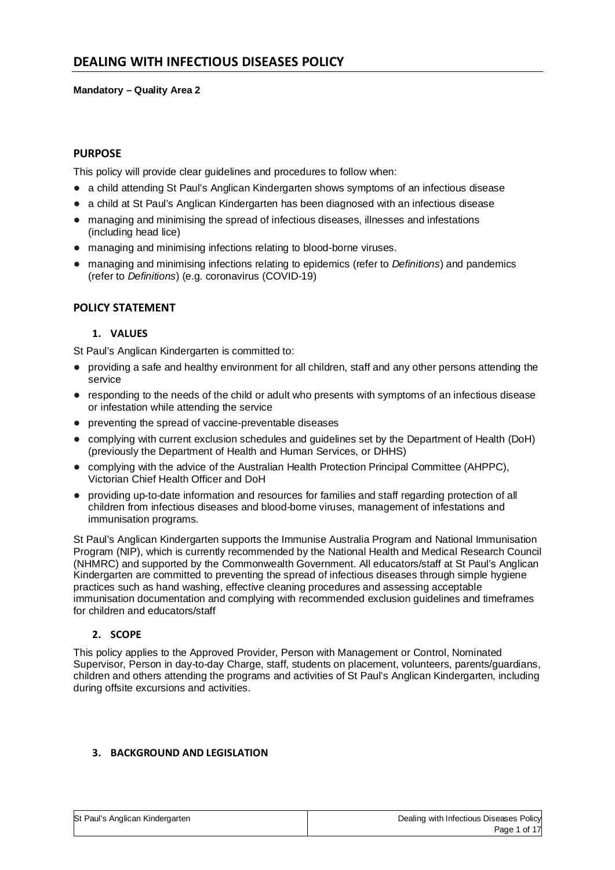#### **Mandatory – Quality Area 2**

## **PURPOSE**

This policy will provide clear guidelines and procedures to follow when:

- a child attending St Paul's Anglican Kindergarten shows symptoms of an infectious disease
- a child at St Paul's Anglican Kindergarten has been diagnosed with an infectious disease
- managing and minimising the spread of infectious diseases, illnesses and infestations (including head lice)
- managing and minimising infections relating to blood-borne viruses.
- managing and minimising infections relating to epidemics (refer to *Definitions*) and pandemics (refer to *Definitions*) (e.g. coronavirus (COVID-19)

#### **POLICY STATEMENT**

#### **1. VALUES**

St Paul's Anglican Kindergarten is committed to:

- providing a safe and healthy environment for all children, staff and any other persons attending the service
- responding to the needs of the child or adult who presents with symptoms of an infectious disease or infestation while attending the service
- preventing the spread of vaccine-preventable diseases
- complying with current exclusion schedules and guidelines set by the Department of Health (DoH) (previously the Department of Health and Human Services, or DHHS)
- complying with the advice of the Australian Health Protection Principal Committee (AHPPC), Victorian Chief Health Officer and DoH
- providing up-to-date information and resources for families and staff regarding protection of all children from infectious diseases and blood-borne viruses, management of infestations and immunisation programs.

St Paul's Anglican Kindergarten supports the Immunise Australia Program and National Immunisation Program (NIP), which is currently recommended by the National Health and Medical Research Council (NHMRC) and supported by the Commonwealth Government. All educators/staff at St Paul's Anglican Kindergarten are committed to preventing the spread of infectious diseases through simple hygiene practices such as hand washing, effective cleaning procedures and assessing acceptable immunisation documentation and complying with recommended exclusion guidelines and timeframes for children and educators/staff

#### **2. SCOPE**

This policy applies to the Approved Provider, Person with Management or Control, Nominated Supervisor, Person in day-to-day Charge, staff, students on placement, volunteers, parents/guardians, children and others attending the programs and activities of St Paul's Anglican Kindergarten, including during offsite excursions and activities.

## **3. BACKGROUND AND LEGISLATION**

|  |  |  | St Paul's Anglican Kindergarten |  |
|--|--|--|---------------------------------|--|
|--|--|--|---------------------------------|--|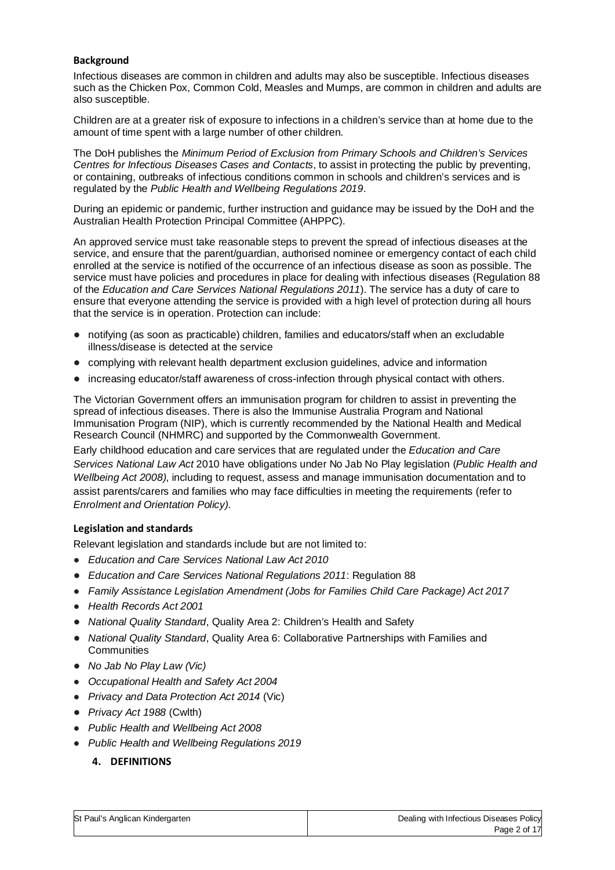## **Background**

Infectious diseases are common in children and adults may also be susceptible. Infectious diseases such as the Chicken Pox, Common Cold, Measles and Mumps, are common in children and adults are also susceptible.

Children are at a greater risk of exposure to infections in a children's service than at home due to the amount of time spent with a large number of other children.

The DoH publishes the *Minimum Period of Exclusion from Primary Schools and Children's Services Centres for Infectious Diseases Cases and Contacts*, to assist in protecting the public by preventing, or containing, outbreaks of infectious conditions common in schools and children's services and is regulated by the *Public Health and Wellbeing Regulations 2019*.

During an epidemic or pandemic, further instruction and guidance may be issued by the DoH and the Australian Health Protection Principal Committee (AHPPC).

An approved service must take reasonable steps to prevent the spread of infectious diseases at the service, and ensure that the parent/guardian, authorised nominee or emergency contact of each child enrolled at the service is notified of the occurrence of an infectious disease as soon as possible. The service must have policies and procedures in place for dealing with infectious diseases (Regulation 88 of the *Education and Care Services National Regulations 2011*). The service has a duty of care to ensure that everyone attending the service is provided with a high level of protection during all hours that the service is in operation. Protection can include:

- notifying (as soon as practicable) children, families and educators/staff when an excludable illness/disease is detected at the service
- complying with relevant health department exclusion guidelines, advice and information
- increasing educator/staff awareness of cross-infection through physical contact with others.

The Victorian Government offers an immunisation program for children to assist in preventing the spread of infectious diseases. There is also the Immunise Australia Program and National Immunisation Program (NIP), which is currently recommended by the National Health and Medical Research Council (NHMRC) and supported by the Commonwealth Government.

Early childhood education and care services that are regulated under the *Education and Care Services National Law Act* 2010 have obligations under No Jab No Play legislation (*Public Health and Wellbeing Act 2008)*, including to request, assess and manage immunisation documentation and to assist parents/carers and families who may face difficulties in meeting the requirements (refer to *Enrolment and Orientation Policy)*.

#### **Legislation and standards**

Relevant legislation and standards include but are not limited to:

- *Education and Care Services National Law Act 2010*
- *Education and Care Services National Regulations 2011*: Regulation 88
- *Family Assistance Legislation Amendment (Jobs for Families Child Care Package) Act 2017*
- *Health Records Act 2001*
- *National Quality Standard*, Quality Area 2: Children's Health and Safety
- *National Quality Standard*, Quality Area 6: Collaborative Partnerships with Families and **Communities**
- *No Jab No Play Law (Vic)*
- *Occupational Health and Safety Act 2004*
- *Privacy and Data Protection Act 2014* (Vic)
- *Privacy Act 1988* (Cwlth)
- *Public Health and Wellbeing Act 2008*
- *Public Health and Wellbeing Regulations 2019*

# **4. DEFINITIONS**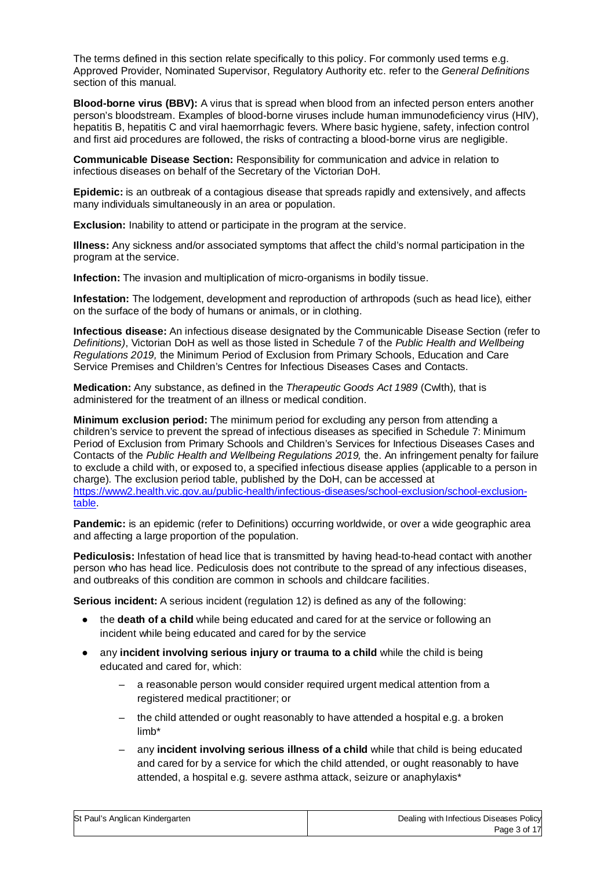The terms defined in this section relate specifically to this policy. For commonly used terms e.g. Approved Provider, Nominated Supervisor, Regulatory Authority etc. refer to the *General Definitions* section of this manual.

**Blood-borne virus (BBV):** A virus that is spread when blood from an infected person enters another person's bloodstream. Examples of blood-borne viruses include human immunodeficiency virus (HIV), hepatitis B, hepatitis C and viral haemorrhagic fevers. Where basic hygiene, safety, infection control and first aid procedures are followed, the risks of contracting a blood-borne virus are negligible.

**Communicable Disease Section:** Responsibility for communication and advice in relation to infectious diseases on behalf of the Secretary of the Victorian DoH.

**Epidemic:** is an outbreak of a contagious disease that spreads rapidly and extensively, and affects many individuals simultaneously in an area or population.

**Exclusion:** Inability to attend or participate in the program at the service.

**Illness:** Any sickness and/or associated symptoms that affect the child's normal participation in the program at the service.

**Infection:** The invasion and multiplication of micro-organisms in bodily tissue.

**Infestation:** The lodgement, development and reproduction of arthropods (such as head lice), either on the surface of the body of humans or animals, or in clothing.

**Infectious disease:** An infectious disease designated by the Communicable Disease Section (refer to *Definitions)*, Victorian DoH as well as those listed in Schedule 7 of the *Public Health and Wellbeing Regulations 2019,* the Minimum Period of Exclusion from Primary Schools, Education and Care Service Premises and Children's Centres for Infectious Diseases Cases and Contacts.

**Medication:** Any substance, as defined in the *Therapeutic Goods Act 1989* (Cwlth), that is administered for the treatment of an illness or medical condition.

**Minimum exclusion period:** The minimum period for excluding any person from attending a children's service to prevent the spread of infectious diseases as specified in Schedule 7: Minimum Period of Exclusion from Primary Schools and Children's Services for Infectious Diseases Cases and Contacts of the *Public Health and Wellbeing Regulations 2019,* the. An infringement penalty for failure to exclude a child with, or exposed to, a specified infectious disease applies (applicable to a person in charge). The exclusion period table, published by the DoH, can be accessed at https://www2.health.vic.gov.au/public-health/infectious-diseases/school-exclusion/school-exclusiontable.

**Pandemic:** is an epidemic (refer to Definitions) occurring worldwide, or over a wide geographic area and affecting a large proportion of the population.

**Pediculosis:** Infestation of head lice that is transmitted by having head-to-head contact with another person who has head lice. Pediculosis does not contribute to the spread of any infectious diseases, and outbreaks of this condition are common in schools and childcare facilities.

**Serious incident:** A serious incident (regulation 12) is defined as any of the following:

- the **death of a child** while being educated and cared for at the service or following an incident while being educated and cared for by the service
- any **incident involving serious injury or trauma to a child** while the child is being educated and cared for, which:
	- a reasonable person would consider required urgent medical attention from a registered medical practitioner; or
	- the child attended or ought reasonably to have attended a hospital e.g. a broken limb\*
	- any **incident involving serious illness of a child** while that child is being educated and cared for by a service for which the child attended, or ought reasonably to have attended, a hospital e.g. severe asthma attack, seizure or anaphylaxis\*

| St Paul's Anglican Kindergarten | Dealing with Infectious Diseases Policy |
|---------------------------------|-----------------------------------------|
|                                 | $D - - - - - - -$                       |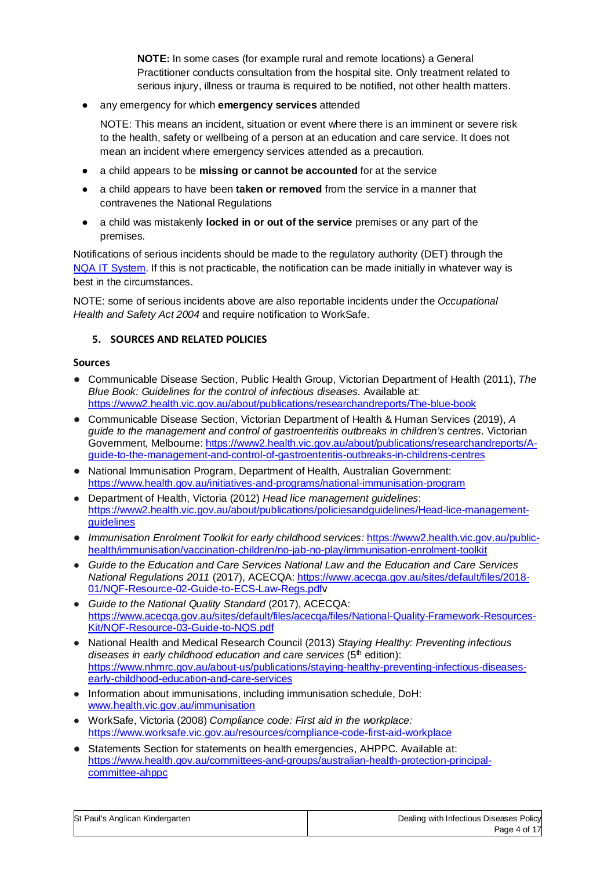**NOTE:** In some cases (for example rural and remote locations) a General Practitioner conducts consultation from the hospital site. Only treatment related to serious injury, illness or trauma is required to be notified, not other health matters.

any emergency for which **emergency services** attended

NOTE: This means an incident, situation or event where there is an imminent or severe risk to the health, safety or wellbeing of a person at an education and care service. It does not mean an incident where emergency services attended as a precaution.

- a child appears to be **missing or cannot be accounted** for at the service
- a child appears to have been **taken or removed** from the service in a manner that contravenes the National Regulations
- a child was mistakenly **locked in or out of the service** premises or any part of the premises.

Notifications of serious incidents should be made to the regulatory authority (DET) through the NQA IT System. If this is not practicable, the notification can be made initially in whatever way is best in the circumstances.

NOTE: some of serious incidents above are also reportable incidents under the *Occupational Health and Safety Act 2004* and require notification to WorkSafe.

# **5. SOURCES AND RELATED POLICIES**

#### **Sources**

- Communicable Disease Section, Public Health Group, Victorian Department of Health (2011), *The Blue Book: Guidelines for the control of infectious diseases.* Available at: https://www2.health.vic.gov.au/about/publications/researchandreports/The-blue-book
- Communicable Disease Section, Victorian Department of Health & Human Services (2019), *A guide to the management and control of gastroenteritis outbreaks in children's centres*. Victorian Government, Melbourne: https://www2.health.vic.gov.au/about/publications/researchandreports/Aguide-to-the-management-and-control-of-gastroenteritis-outbreaks-in-childrens-centres
- National Immunisation Program, Department of Health, Australian Government: https://www.health.gov.au/initiatives-and-programs/national-immunisation-program
- Department of Health, Victoria (2012) *Head lice management guidelines*: https://www2.health.vic.gov.au/about/publications/policiesandguidelines/Head-lice-management**guidelines**
- *Immunisation Enrolment Toolkit for early childhood services: https://www2.health.vic.gov.au/public*health/immunisation/vaccination-children/no-jab-no-play/immunisation-enrolment-toolkit
- *Guide to the Education and Care Services National Law and the Education and Care Services National Regulations 2011* (2017), ACECQA: https://www.acecqa.gov.au/sites/default/files/2018- 01/NQF-Resource-02-Guide-to-ECS-Law-Regs.pdfv
- *Guide to the National Quality Standard* (2017), ACECQA: https://www.acecqa.gov.au/sites/default/files/acecqa/files/National-Quality-Framework-Resources-Kit/NQF-Resource-03-Guide-to-NQS.pdf
- National Health and Medical Research Council (2013) *Staying Healthy: Preventing infectious diseases in early childhood education and care services* (5<sup>th</sup> edition): https://www.nhmrc.gov.au/about-us/publications/staying-healthy-preventing-infectious-diseasesearly-childhood-education-and-care-services
- Information about immunisations, including immunisation schedule, DoH: www.health.vic.gov.au/immunisation
- WorkSafe, Victoria (2008) *Compliance code: First aid in the workplace:*  https://www.worksafe.vic.gov.au/resources/compliance-code-first-aid-workplace
- Statements Section for statements on health emergencies, AHPPC. Available at: https://www.health.gov.au/committees-and-groups/australian-health-protection-principalcommittee-ahppc

| it Paul's Anglican Kindergarten | Dealing w |
|---------------------------------|-----------|
|                                 |           |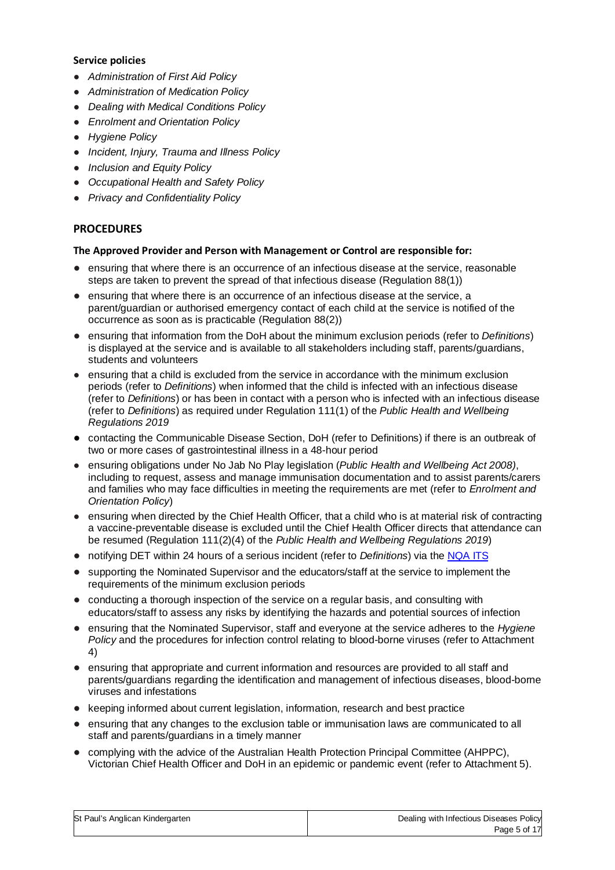#### **Service policies**

- *Administration of First Aid Policy*
- *Administration of Medication Policy*
- *Dealing with Medical Conditions Policy*
- *Enrolment and Orientation Policy*
- *Hygiene Policy*
- *Incident, Injury, Trauma and Illness Policy*
- *Inclusion and Equity Policy*
- *Occupational Health and Safety Policy*
- *Privacy and Confidentiality Policy*

# **PROCEDURES**

#### **The Approved Provider and Person with Management or Control are responsible for:**

- ensuring that where there is an occurrence of an infectious disease at the service, reasonable steps are taken to prevent the spread of that infectious disease (Regulation 88(1))
- ensuring that where there is an occurrence of an infectious disease at the service, a parent/guardian or authorised emergency contact of each child at the service is notified of the occurrence as soon as is practicable (Regulation 88(2))
- ensuring that information from the DoH about the minimum exclusion periods (refer to *Definitions*) is displayed at the service and is available to all stakeholders including staff, parents/guardians, students and volunteers
- ensuring that a child is excluded from the service in accordance with the minimum exclusion periods (refer to *Definitions*) when informed that the child is infected with an infectious disease (refer to *Definitions*) or has been in contact with a person who is infected with an infectious disease (refer to *Definitions*) as required under Regulation 111(1) of the *Public Health and Wellbeing Regulations 2019*
- contacting the Communicable Disease Section, DoH (refer to Definitions) if there is an outbreak of two or more cases of gastrointestinal illness in a 48-hour period
- ensuring obligations under No Jab No Play legislation (*Public Health and Wellbeing Act 2008)*, including to request, assess and manage immunisation documentation and to assist parents/carers and families who may face difficulties in meeting the requirements are met (refer to *Enrolment and Orientation Policy*)
- ensuring when directed by the Chief Health Officer, that a child who is at material risk of contracting a vaccine-preventable disease is excluded until the Chief Health Officer directs that attendance can be resumed (Regulation 111(2)(4) of the *Public Health and Wellbeing Regulations 2019*)
- notifying DET within 24 hours of a serious incident (refer to *Definitions*) via the NQA ITS
- supporting the Nominated Supervisor and the educators/staff at the service to implement the requirements of the minimum exclusion periods
- conducting a thorough inspection of the service on a regular basis, and consulting with educators/staff to assess any risks by identifying the hazards and potential sources of infection
- ensuring that the Nominated Supervisor, staff and everyone at the service adheres to the *Hygiene Policy* and the procedures for infection control relating to blood-borne viruses (refer to Attachment 4)
- ensuring that appropriate and current information and resources are provided to all staff and parents/guardians regarding the identification and management of infectious diseases, blood-borne viruses and infestations
- keeping informed about current legislation, information, research and best practice
- ensuring that any changes to the exclusion table or immunisation laws are communicated to all staff and parents/guardians in a timely manner
- complying with the advice of the Australian Health Protection Principal Committee (AHPPC), Victorian Chief Health Officer and DoH in an epidemic or pandemic event (refer to Attachment 5).

| St Paul's Anglican Kindergarten |  |
|---------------------------------|--|
|                                 |  |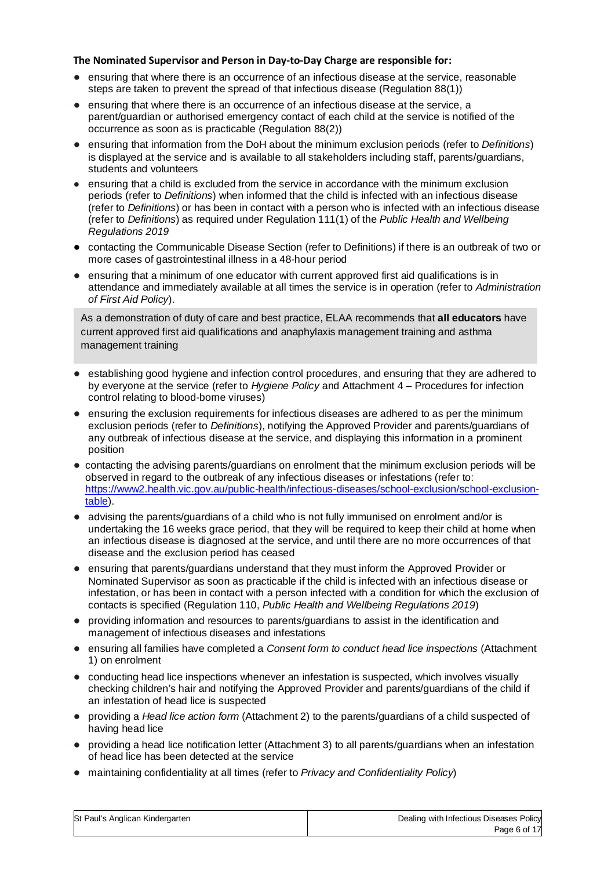#### **The Nominated Supervisor and Person in Day-to-Day Charge are responsible for:**

- ensuring that where there is an occurrence of an infectious disease at the service, reasonable steps are taken to prevent the spread of that infectious disease (Regulation 88(1))
- ensuring that where there is an occurrence of an infectious disease at the service, a parent/guardian or authorised emergency contact of each child at the service is notified of the occurrence as soon as is practicable (Regulation 88(2))
- ensuring that information from the DoH about the minimum exclusion periods (refer to *Definitions*) is displayed at the service and is available to all stakeholders including staff, parents/guardians, students and volunteers
- ensuring that a child is excluded from the service in accordance with the minimum exclusion periods (refer to *Definitions*) when informed that the child is infected with an infectious disease (refer to *Definitions*) or has been in contact with a person who is infected with an infectious disease (refer to *Definitions*) as required under Regulation 111(1) of the *Public Health and Wellbeing Regulations 2019*
- contacting the Communicable Disease Section (refer to Definitions) if there is an outbreak of two or more cases of gastrointestinal illness in a 48-hour period
- ensuring that a minimum of one educator with current approved first aid qualifications is in attendance and immediately available at all times the service is in operation (refer to *Administration of First Aid Policy*).

As a demonstration of duty of care and best practice, ELAA recommends that **all educators** have current approved first aid qualifications and anaphylaxis management training and asthma management training

- establishing good hygiene and infection control procedures, and ensuring that they are adhered to by everyone at the service (refer to *Hygiene Policy* and Attachment 4 – Procedures for infection control relating to blood-borne viruses)
- ensuring the exclusion requirements for infectious diseases are adhered to as per the minimum exclusion periods (refer to *Definitions*), notifying the Approved Provider and parents/guardians of any outbreak of infectious disease at the service, and displaying this information in a prominent position
- contacting the advising parents/guardians on enrolment that the minimum exclusion periods will be observed in regard to the outbreak of any infectious diseases or infestations (refer to: https://www2.health.vic.gov.au/public-health/infectious-diseases/school-exclusion/school-exclusiontable).
- advising the parents/guardians of a child who is not fully immunised on enrolment and/or is undertaking the 16 weeks grace period, that they will be required to keep their child at home when an infectious disease is diagnosed at the service, and until there are no more occurrences of that disease and the exclusion period has ceased
- ensuring that parents/guardians understand that they must inform the Approved Provider or Nominated Supervisor as soon as practicable if the child is infected with an infectious disease or infestation, or has been in contact with a person infected with a condition for which the exclusion of contacts is specified (Regulation 110, *Public Health and Wellbeing Regulations 2019*)
- providing information and resources to parents/guardians to assist in the identification and management of infectious diseases and infestations
- ensuring all families have completed a *Consent form to conduct head lice inspections* (Attachment 1) on enrolment
- conducting head lice inspections whenever an infestation is suspected, which involves visually checking children's hair and notifying the Approved Provider and parents/guardians of the child if an infestation of head lice is suspected
- providing a *Head lice action form* (Attachment 2) to the parents/guardians of a child suspected of having head lice
- providing a head lice notification letter (Attachment 3) to all parents/guardians when an infestation of head lice has been detected at the service
- maintaining confidentiality at all times (refer to *Privacy and Confidentiality Policy*)

| St Paul's Anglican Kindergarten | Dealing with Infectious Diseases Policy |
|---------------------------------|-----------------------------------------|
|                                 | Page 6 of 17                            |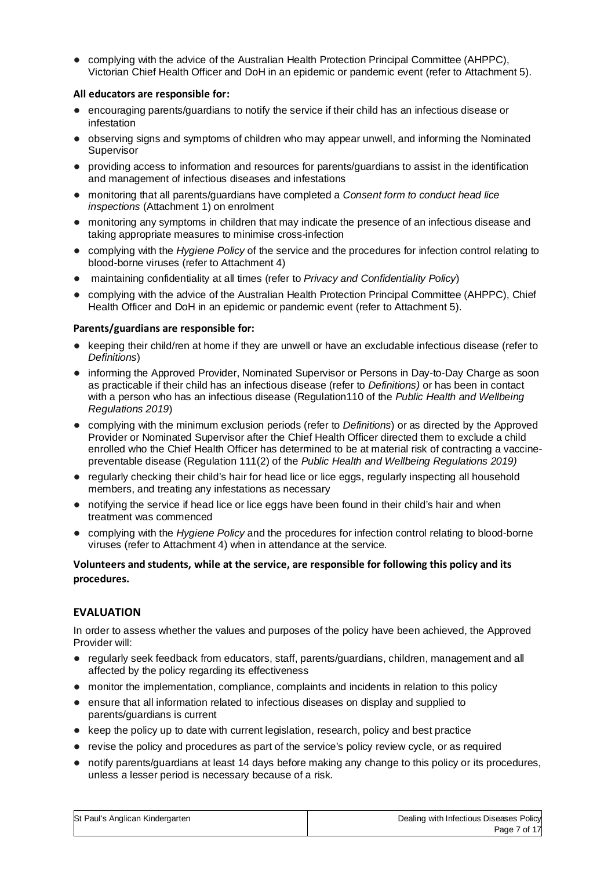● complying with the advice of the Australian Health Protection Principal Committee (AHPPC), Victorian Chief Health Officer and DoH in an epidemic or pandemic event (refer to Attachment 5).

#### **All educators are responsible for:**

- encouraging parents/guardians to notify the service if their child has an infectious disease or infestation
- observing signs and symptoms of children who may appear unwell, and informing the Nominated Supervisor
- providing access to information and resources for parents/guardians to assist in the identification and management of infectious diseases and infestations
- monitoring that all parents/guardians have completed a *Consent form to conduct head lice inspections* (Attachment 1) on enrolment
- monitoring any symptoms in children that may indicate the presence of an infectious disease and taking appropriate measures to minimise cross-infection
- complying with the *Hygiene Policy* of the service and the procedures for infection control relating to blood-borne viruses (refer to Attachment 4)
- maintaining confidentiality at all times (refer to *Privacy and Confidentiality Policy*)
- complying with the advice of the Australian Health Protection Principal Committee (AHPPC), Chief Health Officer and DoH in an epidemic or pandemic event (refer to Attachment 5).

## **Parents/guardians are responsible for:**

- keeping their child/ren at home if they are unwell or have an excludable infectious disease (refer to *Definitions*)
- informing the Approved Provider, Nominated Supervisor or Persons in Day-to-Day Charge as soon as practicable if their child has an infectious disease (refer to *Definitions)* or has been in contact with a person who has an infectious disease (Regulation110 of the *Public Health and Wellbeing Regulations 2019*)
- complying with the minimum exclusion periods (refer to *Definitions*) or as directed by the Approved Provider or Nominated Supervisor after the Chief Health Officer directed them to exclude a child enrolled who the Chief Health Officer has determined to be at material risk of contracting a vaccinepreventable disease (Regulation 111(2) of the *Public Health and Wellbeing Regulations 2019)*
- regularly checking their child's hair for head lice or lice eggs, regularly inspecting all household members, and treating any infestations as necessary
- notifying the service if head lice or lice eggs have been found in their child's hair and when treatment was commenced
- complying with the *Hygiene Policy* and the procedures for infection control relating to blood-borne viruses (refer to Attachment 4) when in attendance at the service.

## **Volunteers and students, while at the service, are responsible for following this policy and its procedures.**

# **EVALUATION**

In order to assess whether the values and purposes of the policy have been achieved, the Approved Provider will:

- regularly seek feedback from educators, staff, parents/guardians, children, management and all affected by the policy regarding its effectiveness
- monitor the implementation, compliance, complaints and incidents in relation to this policy
- ensure that all information related to infectious diseases on display and supplied to parents/guardians is current
- keep the policy up to date with current legislation, research, policy and best practice
- revise the policy and procedures as part of the service's policy review cycle, or as required
- notify parents/guardians at least 14 days before making any change to this policy or its procedures, unless a lesser period is necessary because of a risk.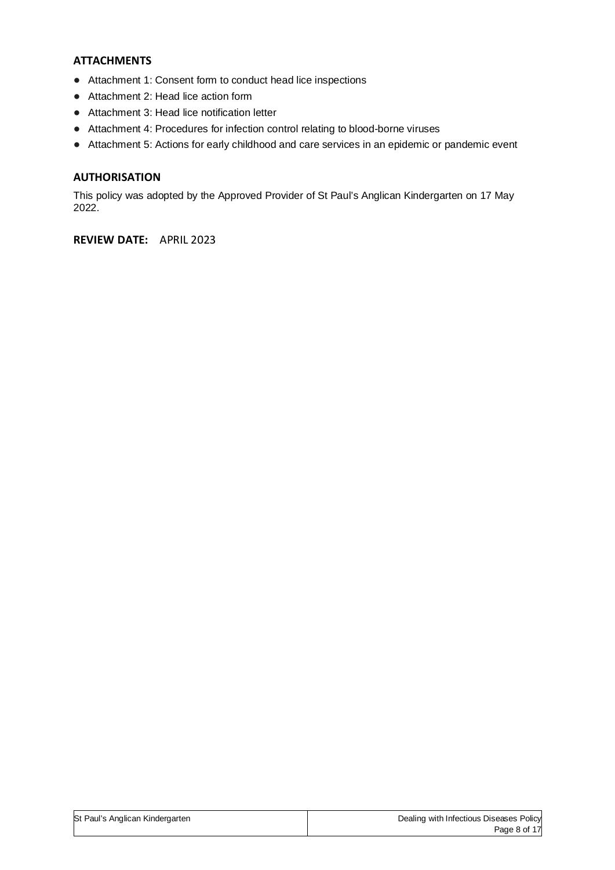# **ATTACHMENTS**

- Attachment 1: Consent form to conduct head lice inspections
- Attachment 2: Head lice action form
- Attachment 3: Head lice notification letter
- Attachment 4: Procedures for infection control relating to blood-borne viruses
- Attachment 5: Actions for early childhood and care services in an epidemic or pandemic event

# **AUTHORISATION**

This policy was adopted by the Approved Provider of St Paul's Anglican Kindergarten on 17 May 2022.

**REVIEW DATE:** APRIL 2023

| St Paul's Anglican Kindergarten | Dealing with Infectious Diseases Policy |
|---------------------------------|-----------------------------------------|
|                                 | Page 8 of 17                            |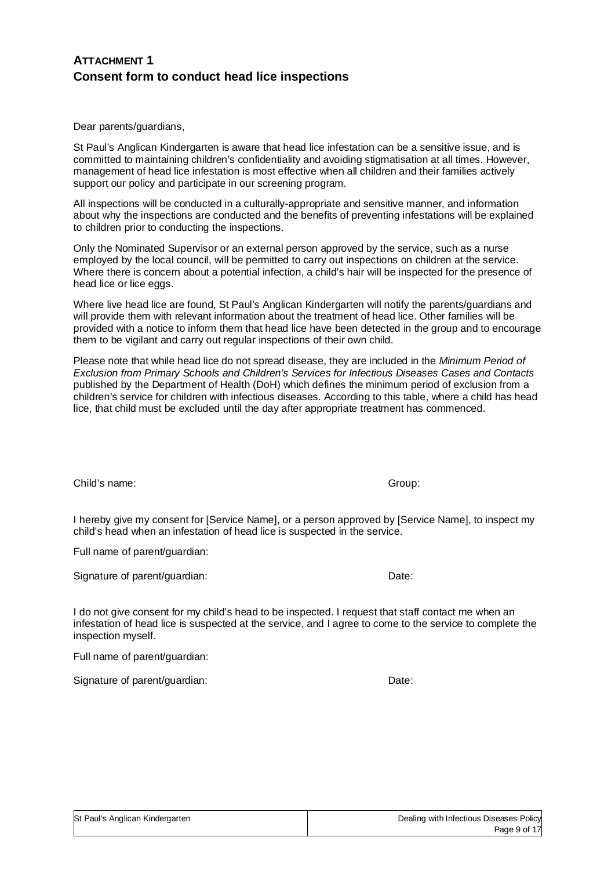# **ATTACHMENT 1 Consent form to conduct head lice inspections**

Dear parents/guardians,

St Paul's Anglican Kindergarten is aware that head lice infestation can be a sensitive issue, and is committed to maintaining children's confidentiality and avoiding stigmatisation at all times. However, management of head lice infestation is most effective when all children and their families actively support our policy and participate in our screening program.

All inspections will be conducted in a culturally-appropriate and sensitive manner, and information about why the inspections are conducted and the benefits of preventing infestations will be explained to children prior to conducting the inspections.

Only the Nominated Supervisor or an external person approved by the service, such as a nurse employed by the local council, will be permitted to carry out inspections on children at the service. Where there is concern about a potential infection, a child's hair will be inspected for the presence of head lice or lice eggs.

Where live head lice are found, St Paul's Anglican Kindergarten will notify the parents/guardians and will provide them with relevant information about the treatment of head lice. Other families will be provided with a notice to inform them that head lice have been detected in the group and to encourage them to be vigilant and carry out regular inspections of their own child.

Please note that while head lice do not spread disease, they are included in the *Minimum Period of Exclusion from Primary Schools and Children's Services for Infectious Diseases Cases and Contacts* published by the Department of Health (DoH) which defines the minimum period of exclusion from a children's service for children with infectious diseases. According to this table, where a child has head lice, that child must be excluded until the day after appropriate treatment has commenced.

Child's name: Group:

I hereby give my consent for [Service Name], or a person approved by [Service Name], to inspect my child's head when an infestation of head lice is suspected in the service.

Full name of parent/guardian:

Signature of parent/guardian: Date: Date:

I do not give consent for my child's head to be inspected. I request that staff contact me when an infestation of head lice is suspected at the service, and I agree to come to the service to complete the inspection myself.

Full name of parent/guardian:

Signature of parent/guardian: Date: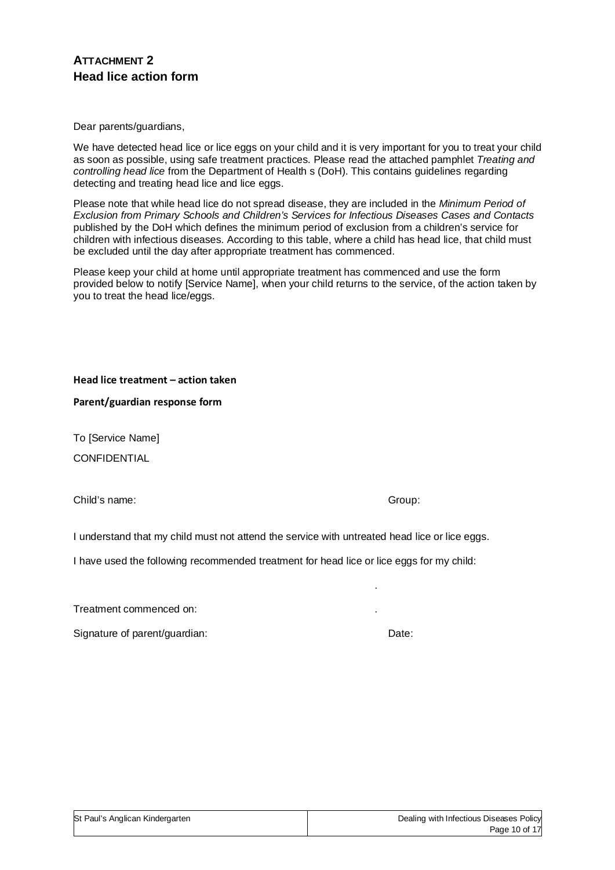# **ATTACHMENT 2 Head lice action form**

Dear parents/guardians,

We have detected head lice or lice eggs on your child and it is very important for you to treat your child as soon as possible, using safe treatment practices. Please read the attached pamphlet *Treating and controlling head lice* from the Department of Health s (DoH). This contains guidelines regarding detecting and treating head lice and lice eggs.

Please note that while head lice do not spread disease, they are included in the *Minimum Period of Exclusion from Primary Schools and Children's Services for Infectious Diseases Cases and Contacts* published by the DoH which defines the minimum period of exclusion from a children's service for children with infectious diseases. According to this table, where a child has head lice, that child must be excluded until the day after appropriate treatment has commenced.

Please keep your child at home until appropriate treatment has commenced and use the form provided below to notify [Service Name], when your child returns to the service, of the action taken by you to treat the head lice/eggs.

**Head lice treatment – action taken** 

**Parent/guardian response form** 

To [Service Name] CONFIDENTIAL

Child's name: Group:

I understand that my child must not attend the service with untreated head lice or lice eggs.

I have used the following recommended treatment for head lice or lice eggs for my child:

Treatment commenced on: .

Signature of parent/guardian: Date:

St Paul's Anglican Kindergarten Dealing with Infectious Diseases Policy Page 10 of 17

.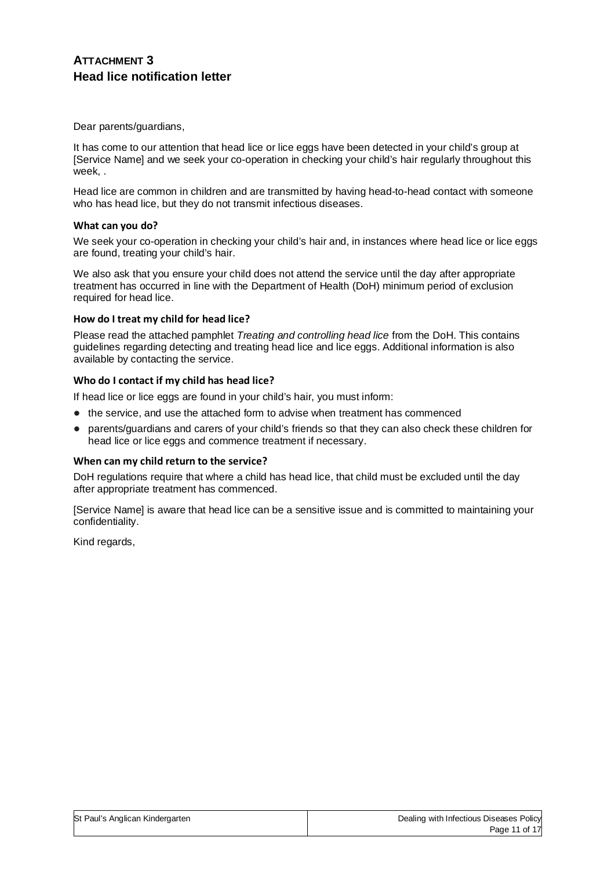# **ATTACHMENT 3 Head lice notification letter**

Dear parents/guardians,

It has come to our attention that head lice or lice eggs have been detected in your child's group at [Service Name] and we seek your co-operation in checking your child's hair regularly throughout this week, .

Head lice are common in children and are transmitted by having head-to-head contact with someone who has head lice, but they do not transmit infectious diseases.

#### **What can you do?**

We seek your co-operation in checking your child's hair and, in instances where head lice or lice eggs are found, treating your child's hair.

We also ask that you ensure your child does not attend the service until the day after appropriate treatment has occurred in line with the Department of Health (DoH) minimum period of exclusion required for head lice.

#### **How do I treat my child for head lice?**

Please read the attached pamphlet *Treating and controlling head lice* from the DoH. This contains guidelines regarding detecting and treating head lice and lice eggs. Additional information is also available by contacting the service.

#### **Who do I contact if my child has head lice?**

If head lice or lice eggs are found in your child's hair, you must inform:

- the service, and use the attached form to advise when treatment has commenced
- parents/guardians and carers of your child's friends so that they can also check these children for head lice or lice eggs and commence treatment if necessary.

#### **When can my child return to the service?**

DoH regulations require that where a child has head lice, that child must be excluded until the day after appropriate treatment has commenced.

[Service Name] is aware that head lice can be a sensitive issue and is committed to maintaining your confidentiality.

Kind regards,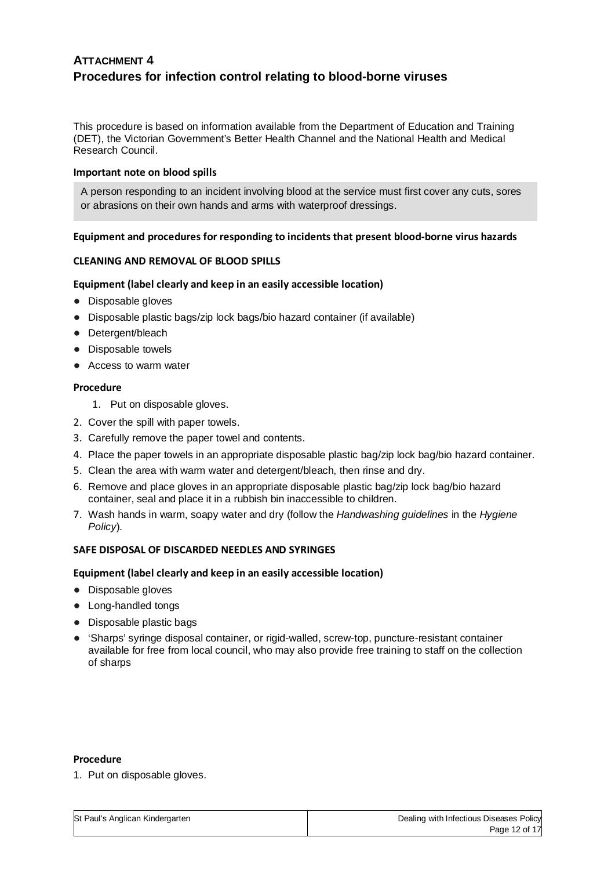# **ATTACHMENT 4 Procedures for infection control relating to blood-borne viruses**

This procedure is based on information available from the Department of Education and Training (DET), the Victorian Government's Better Health Channel and the National Health and Medical Research Council.

#### **Important note on blood spills**

A person responding to an incident involving blood at the service must first cover any cuts, sores or abrasions on their own hands and arms with waterproof dressings.

#### **Equipment and procedures for responding to incidents that present blood-borne virus hazards**

#### **CLEANING AND REMOVAL OF BLOOD SPILLS**

#### **Equipment (label clearly and keep in an easily accessible location)**

- Disposable gloves
- Disposable plastic bags/zip lock bags/bio hazard container (if available)
- Detergent/bleach
- Disposable towels
- Access to warm water

#### **Procedure**

- 1. Put on disposable gloves.
- 2. Cover the spill with paper towels.
- 3. Carefully remove the paper towel and contents.
- 4. Place the paper towels in an appropriate disposable plastic bag/zip lock bag/bio hazard container.
- 5. Clean the area with warm water and detergent/bleach, then rinse and dry.
- 6. Remove and place gloves in an appropriate disposable plastic bag/zip lock bag/bio hazard container, seal and place it in a rubbish bin inaccessible to children.
- 7. Wash hands in warm, soapy water and dry (follow the *Handwashing guidelines* in the *Hygiene Policy*).

### **SAFE DISPOSAL OF DISCARDED NEEDLES AND SYRINGES**

#### **Equipment (label clearly and keep in an easily accessible location)**

- Disposable gloves
- Long-handled tongs
- Disposable plastic bags
- Sharps' syringe disposal container, or rigid-walled, screw-top, puncture-resistant container available for free from local council, who may also provide free training to staff on the collection of sharps

#### **Procedure**

1. Put on disposable gloves.

| St Paul's Anglican Kindergarten | Dealing with Infectious Diseases Policy |
|---------------------------------|-----------------------------------------|
|                                 | Page 12 of 17                           |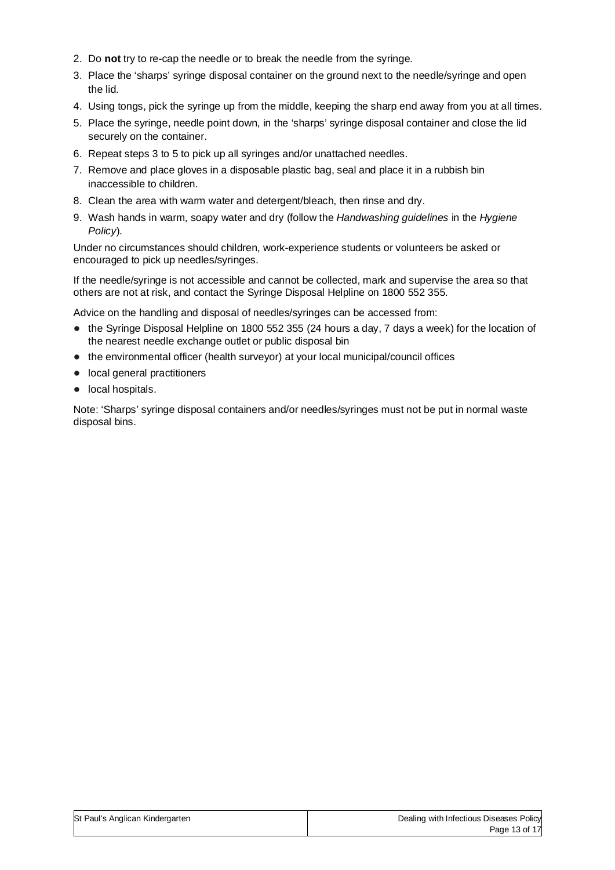- 2. Do **not** try to re-cap the needle or to break the needle from the syringe.
- 3. Place the 'sharps' syringe disposal container on the ground next to the needle/syringe and open the lid.
- 4. Using tongs, pick the syringe up from the middle, keeping the sharp end away from you at all times.
- 5. Place the syringe, needle point down, in the 'sharps' syringe disposal container and close the lid securely on the container.
- 6. Repeat steps 3 to 5 to pick up all syringes and/or unattached needles.
- 7. Remove and place gloves in a disposable plastic bag, seal and place it in a rubbish bin inaccessible to children.
- 8. Clean the area with warm water and detergent/bleach, then rinse and dry.
- 9. Wash hands in warm, soapy water and dry (follow the *Handwashing guidelines* in the *Hygiene Policy*).

Under no circumstances should children, work-experience students or volunteers be asked or encouraged to pick up needles/syringes.

If the needle/syringe is not accessible and cannot be collected, mark and supervise the area so that others are not at risk, and contact the Syringe Disposal Helpline on 1800 552 355.

Advice on the handling and disposal of needles/syringes can be accessed from:

- the Syringe Disposal Helpline on 1800 552 355 (24 hours a day, 7 days a week) for the location of the nearest needle exchange outlet or public disposal bin
- the environmental officer (health surveyor) at your local municipal/council offices
- local general practitioners
- local hospitals.

Note: 'Sharps' syringe disposal containers and/or needles/syringes must not be put in normal waste disposal bins.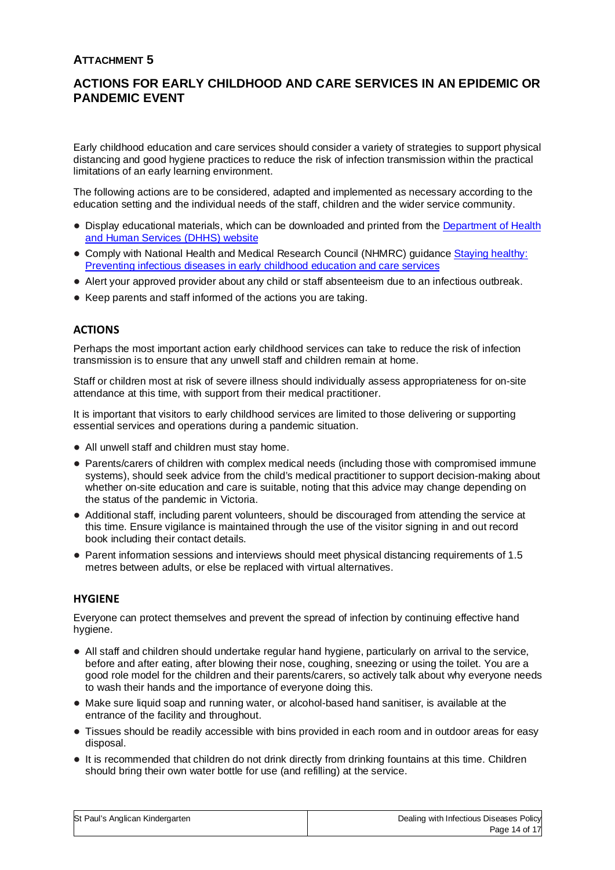# **ATTACHMENT 5**

# **ACTIONS FOR EARLY CHILDHOOD AND CARE SERVICES IN AN EPIDEMIC OR PANDEMIC EVENT**

Early childhood education and care services should consider a variety of strategies to support physical distancing and good hygiene practices to reduce the risk of infection transmission within the practical limitations of an early learning environment.

The following actions are to be considered, adapted and implemented as necessary according to the education setting and the individual needs of the staff, children and the wider service community.

- Display educational materials, which can be downloaded and printed from the Department of Health and Human Services (DHHS) website
- Comply with National Health and Medical Research Council (NHMRC) guidance Staying healthy: Preventing infectious diseases in early childhood education and care services
- Alert your approved provider about any child or staff absenteeism due to an infectious outbreak.
- Keep parents and staff informed of the actions you are taking.

# **ACTIONS**

Perhaps the most important action early childhood services can take to reduce the risk of infection transmission is to ensure that any unwell staff and children remain at home.

Staff or children most at risk of severe illness should individually assess appropriateness for on-site attendance at this time, with support from their medical practitioner.

It is important that visitors to early childhood services are limited to those delivering or supporting essential services and operations during a pandemic situation.

- All unwell staff and children must stay home.
- Parents/carers of children with complex medical needs (including those with compromised immune systems), should seek advice from the child's medical practitioner to support decision-making about whether on-site education and care is suitable, noting that this advice may change depending on the status of the pandemic in Victoria.
- Additional staff, including parent volunteers, should be discouraged from attending the service at this time. Ensure vigilance is maintained through the use of the visitor signing in and out record book including their contact details.
- Parent information sessions and interviews should meet physical distancing requirements of 1.5 metres between adults, or else be replaced with virtual alternatives.

# **HYGIENE**

Everyone can protect themselves and prevent the spread of infection by continuing effective hand hygiene.

- All staff and children should undertake regular hand hygiene, particularly on arrival to the service, before and after eating, after blowing their nose, coughing, sneezing or using the toilet. You are a good role model for the children and their parents/carers, so actively talk about why everyone needs to wash their hands and the importance of everyone doing this.
- Make sure liquid soap and running water, or alcohol-based hand sanitiser, is available at the entrance of the facility and throughout.
- Tissues should be readily accessible with bins provided in each room and in outdoor areas for easy disposal.
- It is recommended that children do not drink directly from drinking fountains at this time. Children should bring their own water bottle for use (and refilling) at the service.

| St Paul's Anglican Kindergarten | Dealing with Infectious Diseases Policy |
|---------------------------------|-----------------------------------------|
|                                 | Page 14 of 17                           |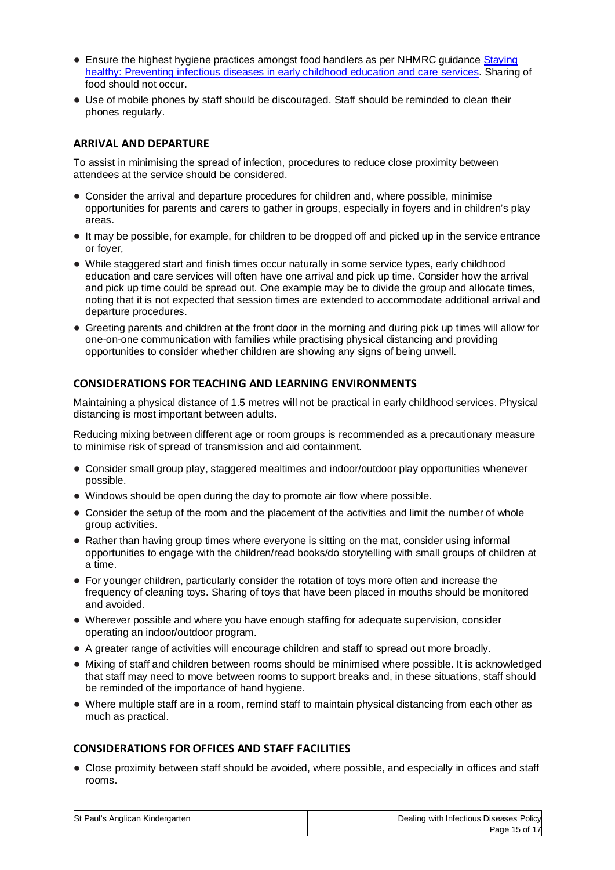- Ensure the highest hygiene practices amongst food handlers as per NHMRC guidance Staying healthy: Preventing infectious diseases in early childhood education and care services. Sharing of food should not occur.
- Use of mobile phones by staff should be discouraged. Staff should be reminded to clean their phones regularly.

# **ARRIVAL AND DEPARTURE**

To assist in minimising the spread of infection, procedures to reduce close proximity between attendees at the service should be considered.

- Consider the arrival and departure procedures for children and, where possible, minimise opportunities for parents and carers to gather in groups, especially in foyers and in children's play areas.
- It may be possible, for example, for children to be dropped off and picked up in the service entrance or foyer,
- While staggered start and finish times occur naturally in some service types, early childhood education and care services will often have one arrival and pick up time. Consider how the arrival and pick up time could be spread out. One example may be to divide the group and allocate times, noting that it is not expected that session times are extended to accommodate additional arrival and departure procedures.
- Greeting parents and children at the front door in the morning and during pick up times will allow for one-on-one communication with families while practising physical distancing and providing opportunities to consider whether children are showing any signs of being unwell.

## **CONSIDERATIONS FOR TEACHING AND LEARNING ENVIRONMENTS**

Maintaining a physical distance of 1.5 metres will not be practical in early childhood services. Physical distancing is most important between adults.

Reducing mixing between different age or room groups is recommended as a precautionary measure to minimise risk of spread of transmission and aid containment.

- Consider small group play, staggered mealtimes and indoor/outdoor play opportunities whenever possible.
- Windows should be open during the day to promote air flow where possible.
- Consider the setup of the room and the placement of the activities and limit the number of whole group activities.
- Rather than having group times where everyone is sitting on the mat, consider using informal opportunities to engage with the children/read books/do storytelling with small groups of children at a time.
- For younger children, particularly consider the rotation of toys more often and increase the frequency of cleaning toys. Sharing of toys that have been placed in mouths should be monitored and avoided.
- Wherever possible and where you have enough staffing for adequate supervision, consider operating an indoor/outdoor program.
- A greater range of activities will encourage children and staff to spread out more broadly.
- Mixing of staff and children between rooms should be minimised where possible. It is acknowledged that staff may need to move between rooms to support breaks and, in these situations, staff should be reminded of the importance of hand hygiene.
- Where multiple staff are in a room, remind staff to maintain physical distancing from each other as much as practical.

# **CONSIDERATIONS FOR OFFICES AND STAFF FACILITIES**

● Close proximity between staff should be avoided, where possible, and especially in offices and staff rooms.

| St Paul's Anglican Kindergarten | Dealing with Infectious Diseases Policy |
|---------------------------------|-----------------------------------------|
|                                 | Page 15 of 17                           |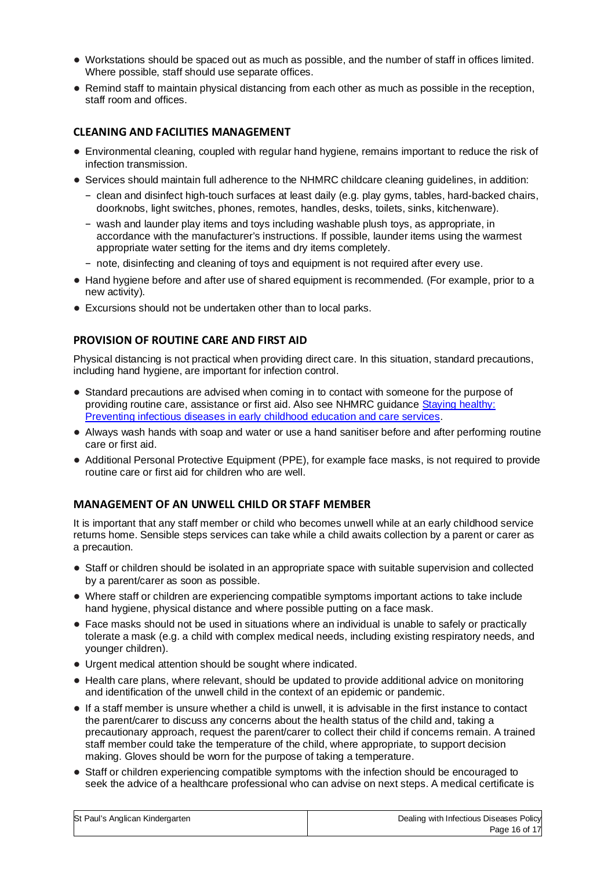- Workstations should be spaced out as much as possible, and the number of staff in offices limited. Where possible, staff should use separate offices.
- Remind staff to maintain physical distancing from each other as much as possible in the reception, staff room and offices.

## **CLEANING AND FACILITIES MANAGEMENT**

- Environmental cleaning, coupled with regular hand hygiene, remains important to reduce the risk of infection transmission.
- Services should maintain full adherence to the NHMRC childcare cleaning quidelines, in addition:
	- − clean and disinfect high-touch surfaces at least daily (e.g. play gyms, tables, hard-backed chairs, doorknobs, light switches, phones, remotes, handles, desks, toilets, sinks, kitchenware).
	- − wash and launder play items and toys including washable plush toys, as appropriate, in accordance with the manufacturer's instructions. If possible, launder items using the warmest appropriate water setting for the items and dry items completely.
	- − note, disinfecting and cleaning of toys and equipment is not required after every use.
- Hand hygiene before and after use of shared equipment is recommended. (For example, prior to a new activity).
- Excursions should not be undertaken other than to local parks.

# **PROVISION OF ROUTINE CARE AND FIRST AID**

Physical distancing is not practical when providing direct care. In this situation, standard precautions, including hand hygiene, are important for infection control.

- Standard precautions are advised when coming in to contact with someone for the purpose of providing routine care, assistance or first aid. Also see NHMRC guidance Staying healthy: Preventing infectious diseases in early childhood education and care services.
- Always wash hands with soap and water or use a hand sanitiser before and after performing routine care or first aid.
- Additional Personal Protective Equipment (PPE), for example face masks, is not required to provide routine care or first aid for children who are well.

## **MANAGEMENT OF AN UNWELL CHILD OR STAFF MEMBER**

It is important that any staff member or child who becomes unwell while at an early childhood service returns home. Sensible steps services can take while a child awaits collection by a parent or carer as a precaution.

- Staff or children should be isolated in an appropriate space with suitable supervision and collected by a parent/carer as soon as possible.
- Where staff or children are experiencing compatible symptoms important actions to take include hand hygiene, physical distance and where possible putting on a face mask.
- Face masks should not be used in situations where an individual is unable to safely or practically tolerate a mask (e.g. a child with complex medical needs, including existing respiratory needs, and younger children).
- Urgent medical attention should be sought where indicated.
- Health care plans, where relevant, should be updated to provide additional advice on monitoring and identification of the unwell child in the context of an epidemic or pandemic.
- If a staff member is unsure whether a child is unwell, it is advisable in the first instance to contact the parent/carer to discuss any concerns about the health status of the child and, taking a precautionary approach, request the parent/carer to collect their child if concerns remain. A trained staff member could take the temperature of the child, where appropriate, to support decision making. Gloves should be worn for the purpose of taking a temperature.
- Staff or children experiencing compatible symptoms with the infection should be encouraged to seek the advice of a healthcare professional who can advise on next steps. A medical certificate is

| St Paul's Anglican Kindergarten | Dealing with Infectious Diseases Policy |
|---------------------------------|-----------------------------------------|
|                                 | Page 16 of 17                           |